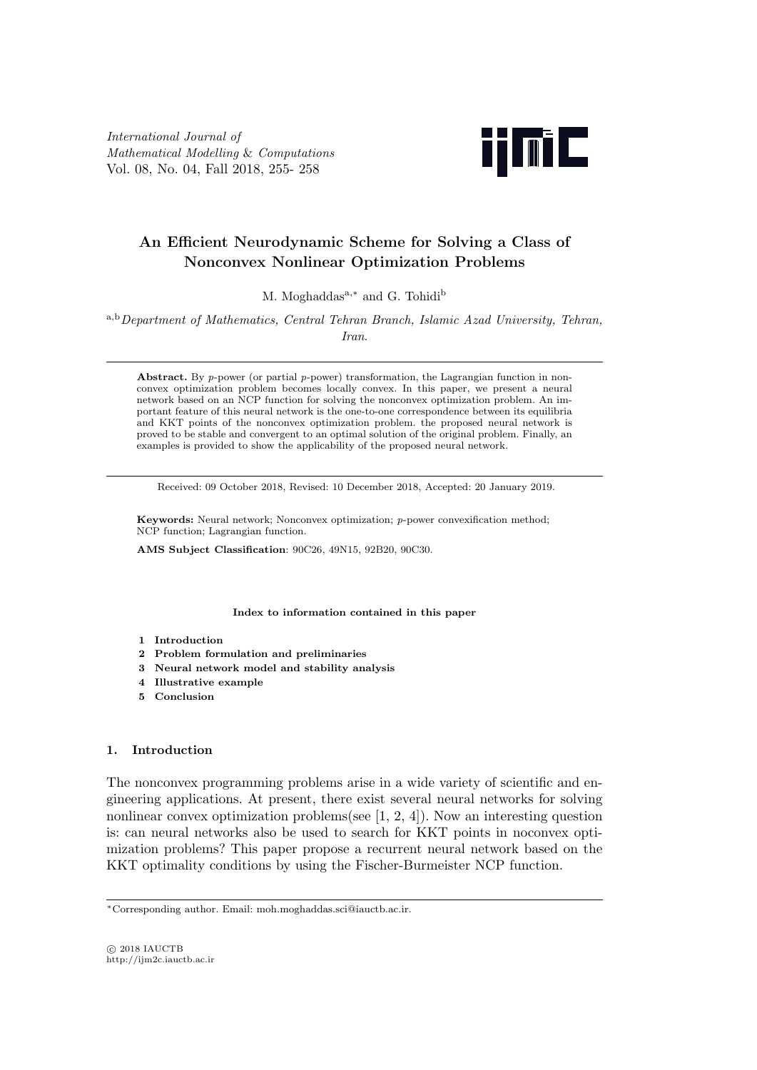*International Journal of Mathematical Modelling* & *Computations* Vol. 08, No. 04, Fall 2018, 255- 258



# **An Efficient Neurodynamic Scheme for Solving a Class of Nonconvex Nonlinear Optimization Problems**

M. Moghaddasa*,<sup>∗</sup>* and G. Tohidi<sup>b</sup>

<sup>a</sup>*,*b*Department of Mathematics, Central Tehran Branch, Islamic Azad University, Tehran, Iran*.

**Abstract.** By *p*-power (or partial *p*-power) transformation, the Lagrangian function in nonconvex optimization problem becomes locally convex. In this paper, we present a neural network based on an NCP function for solving the nonconvex optimization problem. An important feature of this neural network is the one-to-one correspondence between its equilibria and KKT points of the nonconvex optimization problem. the proposed neural network is proved to be stable and convergent to an optimal solution of the original problem. Finally, an examples is provided to show the applicability of the proposed neural network.

Received: 09 October 2018, Revised: 10 December 2018, Accepted: 20 January 2019.

**Keywords:** Neural network; Nonconvex optimization; *p*-power convexification method; NCP function; Lagrangian function.

**AMS Subject Classification**: 90C26, 49N15, 92B20, 90C30.

**Index to information contained in this paper**

- **1 Introduction**
- **2 Problem formulation and preliminaries**
- **3 Neural network model and stability analysis**
- **4 Illustrative example**
- **5 Conclusion**

## **1. Introduction**

The nonconvex programming problems arise in a wide variety of scientific and engineering applications. At present, there exist several neural networks for solving nonlinear convex optimization problems(see [1, 2, 4]). Now an interesting question is: can neural networks also be used to search for KKT points in noconvex optimization problems? This paper propose a recurrent neural network based on the KKT optimality conditions by using the Fischer-Burmeister NCP function.

*<sup>∗</sup>*Corresponding author. Email: moh.moghaddas.sci@iauctb.ac.ir.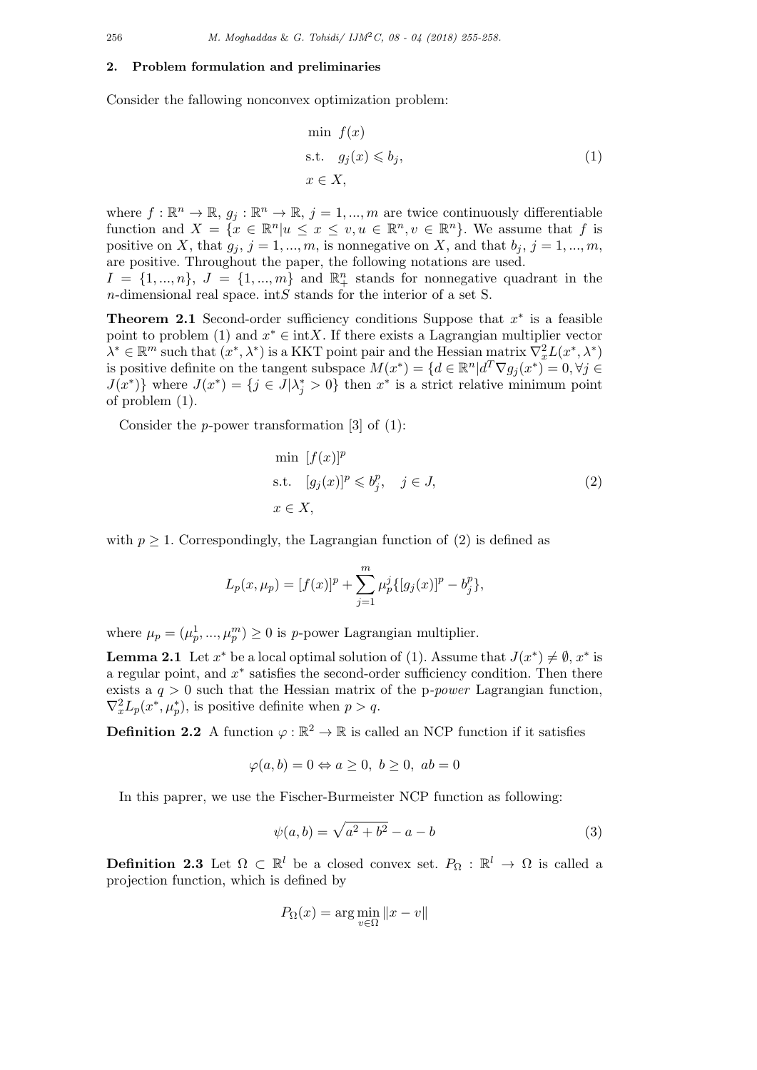### **2. Problem formulation and preliminaries**

Consider the fallowing nonconvex optimization problem:

$$
\min f(x)
$$
  
s.t.  $g_j(x) \leq b_j$ ,  
 $x \in X$ , (1)

where  $f: \mathbb{R}^n \to \mathbb{R}, g_j: \mathbb{R}^n \to \mathbb{R}, j = 1, ..., m$  are twice continuously differentiable function and  $X = \{x \in \mathbb{R}^n | u \le x \le v, u \in \mathbb{R}^n, v \in \mathbb{R}^n\}$ . We assume that f is positive on *X*, that  $g_j$ ,  $j = 1, ..., m$ , is nonnegative on *X*, and that  $b_j$ ,  $j = 1, ..., m$ , are positive. Throughout the paper, the following notations are used.

 $I = \{1, ..., n\}$ ,  $J = \{1, ..., m\}$  and  $\mathbb{R}^n_+$  stands for nonnegative quadrant in the *n*-dimensional real space. int*S* stands for the interior of a set S.

**Theorem 2.1** Second-order sufficiency conditions Suppose that *x ∗* is a feasible point to problem (1) and  $x^* \in \text{int}X$ . If there exists a Lagrangian multiplier vector  $\lambda^* \in \mathbb{R}^m$  such that  $(x^*, \lambda^*)$  is a KKT point pair and the Hessian matrix  $\nabla_x^2 L(x^*, \lambda^*)$ is positive definite on the tangent subspace  $M(x^*) = \{d \in \mathbb{R}^n | d^T \nabla g_j(x^*) = 0, \forall j \in \mathbb{R}^n\}$  $J(x^*)$  where  $J(x^*) = \{j \in J | \lambda_j^* > 0\}$  then  $x^*$  is a strict relative minimum point of problem (1).

Consider the *p*-power transformation [3] of (1):

$$
\min [f(x)]^p
$$
  
s.t.  $[g_j(x)]^p \leq b_j^p$ ,  $j \in J$ ,  
 $x \in X$ , (2)

with  $p \geq 1$ . Correspondingly, the Lagrangian function of (2) is defined as

$$
L_p(x, \mu_p) = [f(x)]^p + \sum_{j=1}^m \mu_p^j \{ [g_j(x)]^p - b_j^p \},
$$

where  $\mu_p = (\mu_p^1, ..., \mu_p^m) \ge 0$  is *p*-power Lagrangian multiplier.

**Lemma 2.1** Let  $x^*$  be a local optimal solution of (1). Assume that  $J(x^*) \neq \emptyset$ ,  $x^*$  is a regular point, and *x ∗* satisfies the second-order sufficiency condition. Then there exists a *q >* 0 such that the Hessian matrix of the p*-power* Lagrangian function,  $\nabla_x^2 L_p(x^*, \mu_p^*),$  is positive definite when  $p > q$ .

**Definition 2.2** A function  $\varphi : \mathbb{R}^2 \to \mathbb{R}$  is called an NCP function if it satisfies

$$
\varphi(a, b) = 0 \Leftrightarrow a \ge 0, \ b \ge 0, \ ab = 0
$$

In this paprer, we use the Fischer-Burmeister NCP function as following:

$$
\psi(a, b) = \sqrt{a^2 + b^2} - a - b \tag{3}
$$

**Definition 2.3** Let  $\Omega \subset \mathbb{R}^l$  be a closed convex set.  $P_{\Omega} : \mathbb{R}^l \to \Omega$  is called a projection function, which is defined by

$$
P_{\Omega}(x) = \arg\min_{v \in \Omega} \|x - v\|
$$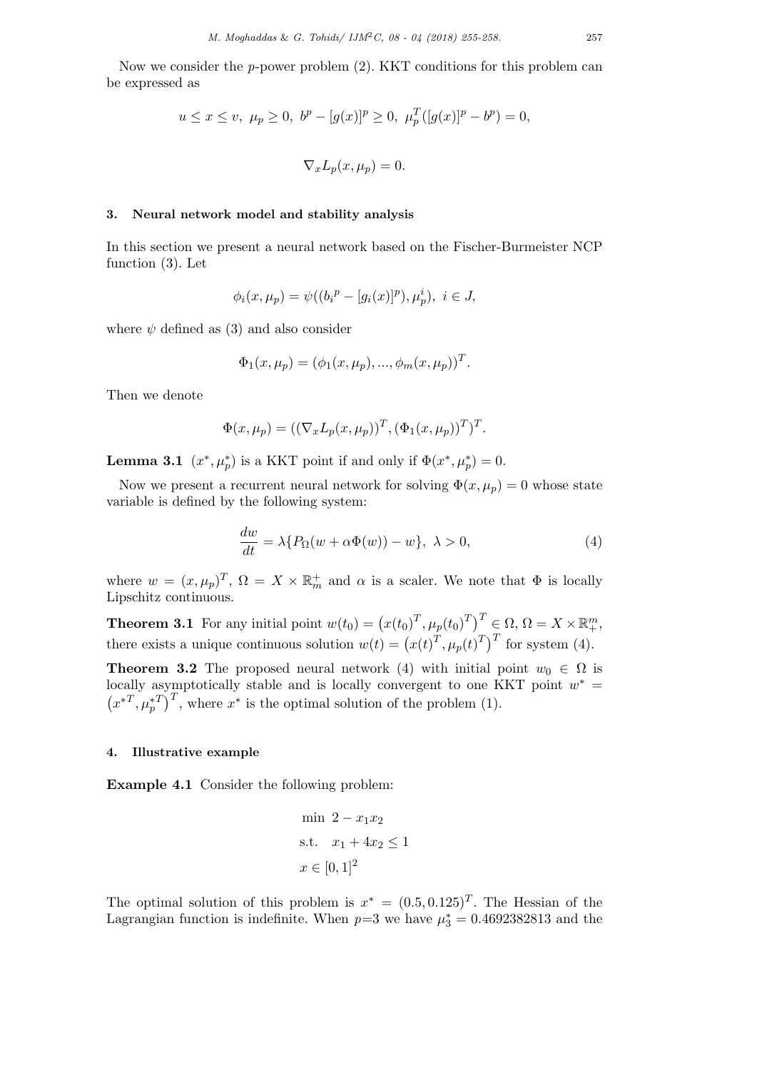Now we consider the *p*-power problem (2). KKT conditions for this problem can be expressed as

$$
u \le x \le v, \ \mu_p \ge 0, \ b^p - [g(x)]^p \ge 0, \ \mu_p^T([g(x)]^p - b^p) = 0,
$$
  

$$
\nabla_x L_p(x, \mu_p) = 0.
$$

## **3. Neural network model and stability analysis**

In this section we present a neural network based on the Fischer-Burmeister NCP function (3). Let

$$
\phi_i(x, \mu_p) = \psi((b_i^p - [g_i(x)]^p), \mu_p^i), \ i \in J,
$$

where  $\psi$  defined as (3) and also consider

$$
\Phi_1(x,\mu_p) = (\phi_1(x,\mu_p), ..., \phi_m(x,\mu_p))^T.
$$

Then we denote

$$
\Phi(x,\mu_p) = ((\nabla_x L_p(x,\mu_p))^T, (\Phi_1(x,\mu_p))^T)^T.
$$

**Lemma 3.1**  $(x^*, \mu_p^*)$  is a KKT point if and only if  $\Phi(x^*, \mu_p^*) = 0$ .

Now we present a recurrent neural network for solving  $\Phi(x, \mu_p) = 0$  whose state variable is defined by the following system:

$$
\frac{dw}{dt} = \lambda \{ P_{\Omega}(w + \alpha \Phi(w)) - w \}, \ \lambda > 0,
$$
\n(4)

where  $w = (x, \mu_p)^T$ ,  $\Omega = X \times \mathbb{R}_m^+$  and  $\alpha$  is a scaler. We note that  $\Phi$  is locally Lipschitz continuous.

**Theorem 3.1** For any initial point  $w(t_0) = (x(t_0)^T, \mu_p(t_0)^T)^T \in \Omega, \Omega = X \times \mathbb{R}^m_+$ , there exists a unique continuous solution  $w(t) = (x(t)^T, \mu_p(t)^T)^T$  for system (4).

**Theorem 3.2** The proposed neural network (4) with initial point  $w_0 \in \Omega$  is locally asymptotically stable and is locally convergent to one KKT point  $w^* =$  $(x^{*T}, \mu_p^{*T})^T$ , where  $x^*$  is the optimal solution of the problem (1).

### **4. Illustrative example**

**Example 4.1** Consider the following problem:

min 
$$
2 - x_1 x_2
$$
  
s.t.  $x_1 + 4x_2 \le 1$   
 $x \in [0, 1]^2$ 

The optimal solution of this problem is  $x^* = (0.5, 0.125)^T$ . The Hessian of the Lagrangian function is indefinite. When  $p=3$  we have  $\mu_3^* = 0.4692382813$  and the